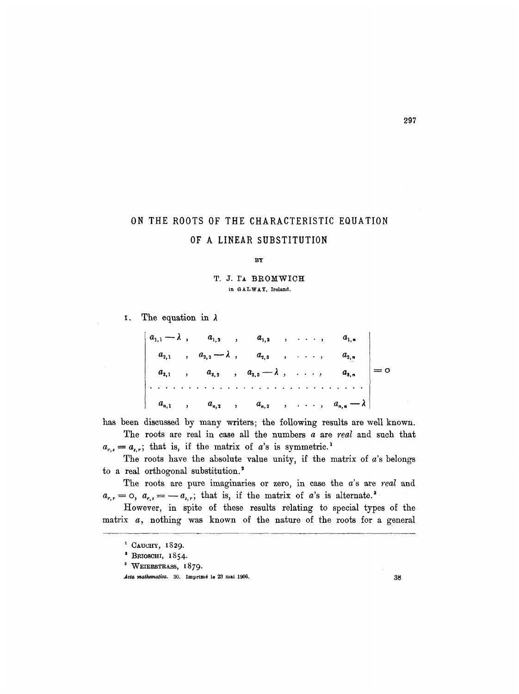## ON THE ROOTS OF THE CHARACTERISTIC EQUATION OF A LINEAR SUBSTITUTION

## BY

T. J. TA BROMWICH in GALWAY, Ireland.

I. The equation in  $\lambda$ 

$$
\begin{vmatrix} a_{1,1} - \lambda, & a_{1,2} & a_{1,3} & a_{1,4} & a_{1,n} \\ a_{2,1} & a_{2,2} - \lambda, & a_{2,3} & a_{2,3} & a_{2,n} \\ a_{3,1} & a_{3,2} & a_{3,3} - \lambda, & a_{3,4} & a_{3,n} \\ \vdots & \vdots & \vdots & \vdots & \vdots & \vdots & \vdots \\ a_{n,1} & a_{n,2} & a_{n,3} & a_{n,3} & a_{n,4} - \lambda \end{vmatrix} = 0
$$

has been discussed by many writers; the following results are well known.

The roots are real in case all the numbers a are *real* and such that  $a_{r,s} = a_{r,r}$ ; that is, if the matrix of a's is symmetric.<sup>1</sup>

The roots have the absolute value unity, if the matrix of  $a$ 's belongs to a real orthogonal substitution.<sup>2</sup>

The roots are pure imaginaries or zero, in case the a's are *real* and  $a_{r,r} = 0$ ,  $a_{r,s} = -a_{s,r}$ ; that is, if the matrix of a's is alternate.<sup>3</sup>

However, in spite of these results relating to special types of the matrix  $a$ , nothing was known of the nature of the roots for a general

<sup>&</sup>lt;sup>1</sup> CAUCHY, 1829.

<sup>\*</sup> BRIOSCHI, I854.

<sup>&</sup>lt;sup>3</sup> WEIERSTRASS, 1879.

Acta mathematica. 30. Imprimé le 23 mai 1906. **38 38**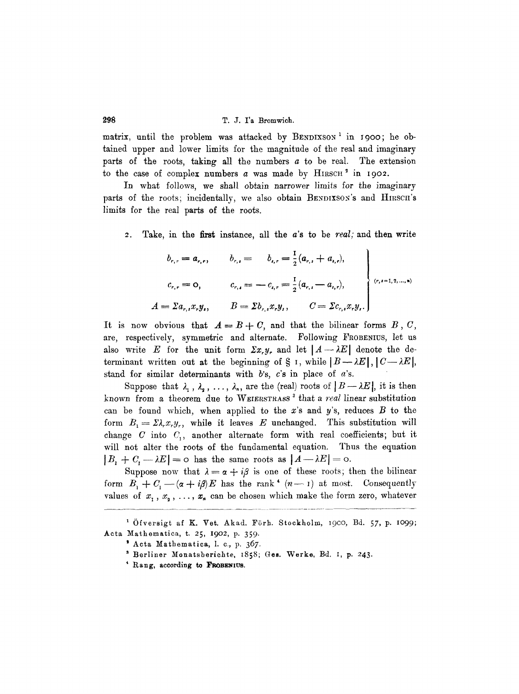matrix, until the problem was attacked by BENDIXSON<sup>1</sup> in 1900; he obtained upper and lower limits for the magnitude of the real and imaginary parts of the roots, taking all the numbers  $a$  to be real. The extension to the case of complex numbers  $a$  was made by HIRSCH<sup>2</sup> in 1902.

In what follows, we shall obtain narrower limits for the imaginary parts of the roots; incidentally, we also obtain BENDIXSON's and HIRSCH's limits for the real parts of the roots.

2. Take, in the first instance, all the a's to be *real;* and then write

$$
b_{r,r} = a_{r,r}, \t b_{r,s} = b_{r,s} = \frac{1}{2}(a_{r,s} + a_{r,s}),
$$
  
\n
$$
c_{r,r} = 0, \t c_{r,s} = -c_{r,s} = \frac{1}{2}(a_{r,s} - a_{r,s}),
$$
  
\n
$$
= \sum a_{r,s} x_r y_s, \t B = \sum b_{r,s} x_r y_s, \t C = \sum c_{r,s} x_r y_s.
$$
 (7.12)

It is now obvious that  $A = B + C$ , and that the bilinear forms  $B$ , C, are, respectively, symmetric and alternate. Following FROBENIUS, let us also write E for the unit form  $\Sigma x_r y_r$  and let  $[A \rightarrow \lambda E]$  denote the determinant written out at the beginning of  $\S$  I, while  $|B\rightarrow \lambda E|, |C\rightarrow \lambda E|$ , stand for similar determinants with  $b$ 's,  $c$ 's in place of  $a$ 's.

Suppose that  $\lambda_1$ ,  $\lambda_2$ , ...,  $\lambda_n$ , are the (real) roots of  $|B-\lambda E|$ , it is then known from a theorem due to WEIERSTRASS<sup>3</sup> that a *real* linear substitution can be found which, when applied to the  $x$ 's and  $y$ 's, reduces  $B$  to the form  $B_1 = \Sigma \lambda_r x_r y_r$ , while it leaves E unchanged. This substitution will change  $C$  into  $C<sub>1</sub>$ , another alternate form with real coefficients; but it will not alter the roots of the fundamental equation. Thus the equation  $|B_1 + C_2 - \lambda E| = o$  has the same roots as  $|A - \lambda E| = o$ .

Suppose now that  $\lambda = \alpha + i\beta$  is one of these roots; then the bilinear form  $B_1 + C_1 - (\alpha + i\beta)E$  has the rank<sup>4</sup> (n-1) at most. Consequently values of  $x_1, x_2, \ldots, x_n$  can be chosen which make the form zero, whatever

*A = ~ar,,X~y,,* 

<sup>&</sup>lt;sup>1</sup> Öfversigt af K. Vet. Akad. Förh. Stockholm, 1900, Bd. 57, p. 1099; Acta Mathematica, t. 25, 1902, p. 359.

<sup>&</sup>lt;sup>3</sup> Acta Mathematica, l. c., p. 367.

s Borliner Monatsberichte, I858; Ges. Werko, Bd. I, p. 243.

 $4$  Rang, according to FROBENIUS.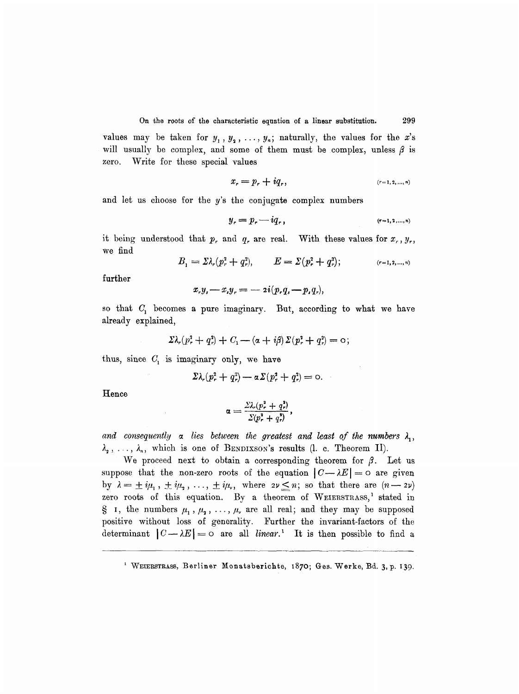values may be taken for  $y_1, y_2, \ldots, y_n$ ; naturally, the values for the x's will usually be complex, and some of them must be complex, unless  $\beta$  is zero. Write for these special values

$$
x_r = p_r + iq_r, \t\t (r=1,2,...,n)
$$

and let us choose for the y's the conjugate complex numbers

$$
y_r = p_r - iq_r, \t\t (r=1,2,...,n)
$$

it being understood that p, and q, are real. With these values for  $x_r, y_r$ , we find

$$
B_1 = \Sigma \lambda_r (p_r^2 + q_r^2), \qquad E = \Sigma (p_r^2 + q_r^2); \qquad (r = 1, 2, ..., n)
$$

further

$$
x_{r}y_{s}-x_{s}y_{r}=-2i(p_{r}q_{s}-p_{s}q_{r}),
$$

so that  $C_1$  becomes a pure imaginary. But, according to what we have already explained,

$$
\Sigma \lambda_r (p_r^2 + q_r^2) + C_1 - (\alpha + i\beta) \Sigma (p_r^2 + q_r^2) = 0;
$$

thus, since  $C_1$  is imaginary only, we have

$$
\Sigma \lambda_r (p_r^2 + q_r^2) - a \Sigma (p_r^2 + q_r^2) = 0.
$$

**Hence** 

$$
\alpha = \frac{\Sigma \lambda_r (p_r^2 + q_r^2)}{\Sigma (p_r^2 + q_r^2)},
$$

and consequently a lies between the greatest and least of the numbers  $\lambda_1$ ,  $\lambda_2$ ,...,  $\lambda_n$ , which is one of BENDIXSON's results (1. c. Theorem II).

We proceed next to obtain a corresponding theorem for  $\beta$ . Let us suppose that the non-zero roots of the equation  $|C-\lambda E| = o$  are given by  $\lambda = \pm i\mu_1, \pm i\mu_2, \ldots, \pm i\mu_\nu$ , where  $2\nu \leq n$ ; so that there are  $(n-2\nu)$ zero roots of this equation. By a theorem of WEIERSTRASS,<sup>1</sup> stated in § 1, the numbers  $\mu_1, \mu_2, \ldots, \mu_r$  are all real; and they may be supposed positive without loss of generality. Further the invariant-factors of the determinant  $|C-\lambda E|=0$  are all *linear*.<sup>1</sup> It is then possible to find a

<sup>&</sup>lt;sup>1</sup> WEIERSTRASS, Berliner Monatsberichte, 1870; Ges. Werke, Bd. 3, p. 139.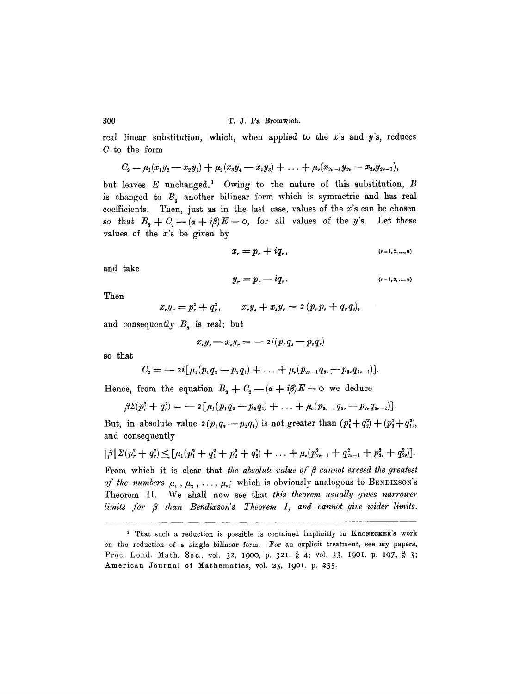## 300 T.J. I'a Bromwich.

real linear substitution, which, when applied to the  $x$ 's and  $y$ 's, reduces C to the form

$$
C_3 = \mu_1(x_1y_2 - x_2y_1) + \mu_2(x_3y_4 - x_4y_3) + \ldots + \mu_r(x_{2r-1}y_{2r} - x_{2r}y_{2r-1}),
$$

but leaves  $E$  unchanged.<sup>1</sup> Owing to the nature of this substitution,  $B$ is changed to  $B<sub>2</sub>$  another bilinear form which is symmetric and has real coefficients. Then, just as in the last case, values of the  $x$ 's can be chosen so that  $B_2 + C_2 - (a + i\beta)E = 0$ , for all values of the y's. Let these values of the  $x$ 's be given by

$$
x_r = p_r + iq_r, \t\t (r=1,2,...,n)
$$

and take

$$
y_r = p_r - iq_r. \qquad (r=1,2,\ldots,n)
$$

Then

$$
x_{r}y_{r} = p_{r}^{2} + q_{r}^{2}, \qquad x_{r}y_{s} + x_{s}y_{r} = 2(p_{r}p_{s} + q_{r}q_{s}),
$$

and consequently  $B<sub>2</sub>$  is real; but

$$
x_{r}y_{r}-x_{s}y_{r}=-2i(p_{r}q_{s}-p_{s}q_{r})
$$

so that

$$
C_2 = -2i[\mu_1(p_1q_2-p_2q_1)+\ldots+\mu_r(p_{2r-1}q_{2r}-p_{2r}q_{2r-1})].
$$

Hence, from the equation  $B_2 + C_2 - (\alpha + i\beta)E = 0$  we deduce

$$
\beta\Sigma(p_r^2+q_r^2)=-2\big[\mu_1(p_1q_2-p_2q_1)+\ldots+\mu_r(p_{2r-1}q_{2r}-p_{2r}q_{2r-1})\big].
$$

But, in absolute value  $2(p_1q_1-p_2q_1)$  is not greater than  $(p_1^2+q_2^2)+(p_2^2+q_1^2)$ , and consequently

$$
|\beta|\Sigma(p_r^2+q_r^2)\leq [\mu_1(p_1^2+q_1^2+p_2^2+q_2^2)+\ldots+\mu_r(p_{2r-1}^2+q_{2r-1}^2+p_{2r}^2+q_{2r}^2)].
$$

From which it is clear that *the absolute value of*  $\beta$  *cannot exceed the greatest of the numbers*  $\mu_1$ ,  $\mu_2$ , ...,  $\mu_r$ ; which is obviously analogous to BENDIXSON's Theorem II. We shall now see that *this theorem usually gives narrower*  $limits for  $\beta$  than Bendixson's Theorem I, and cannot give wider limits.$ 

<sup>&</sup>lt;sup>1</sup> That such a reduction is possible is contained implicitly in KRONECKER's work on the reduction of a single bilinear form. For an explicit treatment, see my papers, Proc. Lond. Math. Soc., vol. 32, 1900, p. 321, § 4; vol. 33, 1901, p. 197, § 3; American Journal of Mathematics, vol. 23, 1901, p. 235.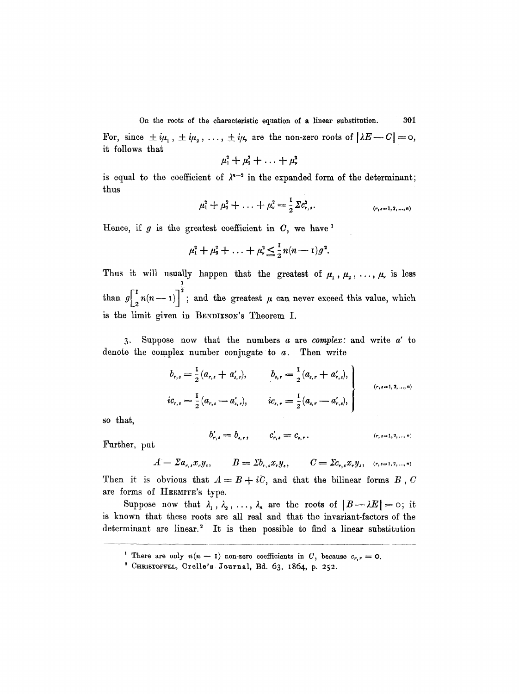On the roots of the characteristic equation of a linear substitution. 301 For, since  $\pm i\mu_1$ ,  $\pm i\mu_2$ , ...,  $\pm i\mu_r$  are the non-zero roots of  $|\lambda E - C| = 0$ , it follows that

$$
\mu_1^2+\mu_2^2+\ldots+\mu_\nu^2
$$

is equal to the coefficient of  $\lambda^{n-2}$  in the expanded form of the determinant; thus

$$
\mu_1^2 + \mu_2^2 + \ldots + \mu_r^2 = \frac{1}{2} \Sigma c_{r,s}^2.
$$
 (r,s=1,2,...,n)

Hence, if  $g$  is the greatest coefficient in  $C$ , we have  $^1$ 

$$
\mu_1^2 + \mu_2^2 + \ldots + \mu_r^2 \leq \frac{1}{2} n(n-1) g^2
$$
.

Thus it will usually happen that the greatest of  $\mu_1, \mu_2, \ldots, \mu_r$  is less 1 than  $g\left[\frac{1}{2}n(n-1)\right]^2$ ; and the greatest  $\mu$  can never exceed this value, which is the limit given in BENDIXSON'S Theorem I.

**3** . denote the complex number conjugate to a. Then write Suppose now that the numbers a are *complex:* and write a' to

$$
b_{r,s} = \frac{1}{2} (a_{r,s} + a'_{s,r}), \qquad b_{s,r} = \frac{1}{2} (a_{s,r} + a'_{r,s}),
$$
  

$$
ic_{r,s} = \frac{1}{2} (a_{r,s} - a'_{s,r}), \qquad ic_{s,r} = \frac{1}{2} (a_{s,r} - a'_{r,s}),
$$
  

$$
(r,s=1,2,...,n)
$$

so that,

$$
b'_{r,s} = b_{s,r}, \qquad c'_{r,s} = c_{s,r}. \qquad (r,s=1,2,...,n)
$$

Further, put

 $A = \sum a_{r,s} x_r y_s, \qquad B = \sum b_{r,s} x_r y_s, \qquad C = \sum c_{r,s} x_r y_s, \quad (r,s=1,2,...,n)$ 

Then it is obvious that  $A=B+i\tilde{C}$ , and that the bilinear forms B, C are forms of HERMITE's type.

Suppose now that  $\lambda_1, \lambda_2, \ldots, \lambda_n$  are the roots of  $|B-\lambda E|=0$ ; it is known that these roots are all real and that the invariant-factors of the determinant are linear.<sup>2</sup> It is then possible to find a linear substitution

<sup>&</sup>lt;sup>1</sup> There are only  $n(n-1)$  non-zero coefficients in C, because  $c_{r,r} = 0$ .

 $^2$  CHRISTOFFEL, Crelle's Journal, Bd. 63, 1864, p. 252.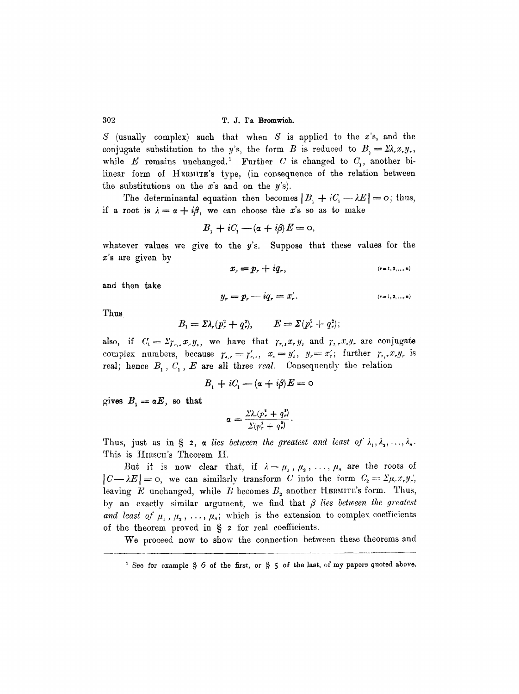S (usually complex) such that when  $S$  is applied to the x's, and the conjugate substitution to the y's, the form B is reduced to  $B_i = \Sigma \lambda_i x_i y_i$ , while  $E$  remains unchanged.<sup>1</sup> Further  $C$  is changed to  $C<sub>1</sub>$ , another bilinear form of HERMITE'S type, (in consequence of the relation between the substitutions on the  $x$ 's and on the  $y$ 's).

The determinantal equation then becomes  $|B_1+iC_1-\lambda E|=0$ ; thus, if a root is  $\lambda = \alpha + i\beta$ , we can choose the x's so as to make

$$
B_1 + iC_1 - (\alpha + i\beta)E = 0,
$$

whatever values we give to the  $y$ 's. Suppose that these values for the  $x$ 's are given by

$$
x_r = p_r + iq_r, \t\t (r=1,2,...,n)
$$

and then take

$$
y_r = p_r - iq_r = x'_r.
$$
 (r=1,2,...,n)

Thus

$$
B_1 = \Sigma \lambda_r (p_r^2 + q_r^2), \qquad E = \Sigma (p_r^2 + q_r^2);
$$

also, if  $C_1 = \sum_{r,s} x_r y_s$ , we have that  $\gamma_{r,s} x_r y_s$  and  $\gamma_{s,r} x_s y_r$  are conjugate complex numbers, because  $\gamma_{i,r} = \gamma'_{r,i}, x_i = y'_i, y_r = x'_r$ ; further  $\gamma_{i,r} x_r y_r$  is real; hence  $B_1, C_1, E$  are all three *real.* Consequently the relation

$$
B_1 + iC_1 - (\alpha + i\beta)E = 0
$$

gives  $B_1 = \alpha E$ , so that

$$
\alpha = \frac{\Sigma \lambda_r (p_r^2 + q_r^2)}{\Sigma (p_r^2 + q_r^2)}.
$$

Thus, just as in § 2, a *lies between the greatest and least of*  $\lambda_1, \lambda_2, \ldots, \lambda_n$ . This is HIRSCH's Theorem II.

But it is now clear that, if  $\lambda = \mu_1, \mu_2, \ldots, \mu_n$  are the roots of  $|C-\lambda E|=0$ , we can similarly transform C into the form  $C_2=\sum \mu_r x_r y_r'$ , leaving  $E$  unchanged, while  $B$  becomes  $B<sub>2</sub>$  another HERMITE's form. Thus, by an exactly similar argument, we find that  $\beta$  lies between the greatest *and least of*  $\mu_1$ ,  $\mu_2$ , ...,  $\mu_n$ ; which is the extension to complex coefficients of the theorem proved in  $\S$  2 for real coefficients.

We proceed now to show the connection between these theorems and

<sup>&</sup>lt;sup>1</sup> See for example  $\S$  6 of the first, or  $\S$  5 of the last, of my papers quoted above.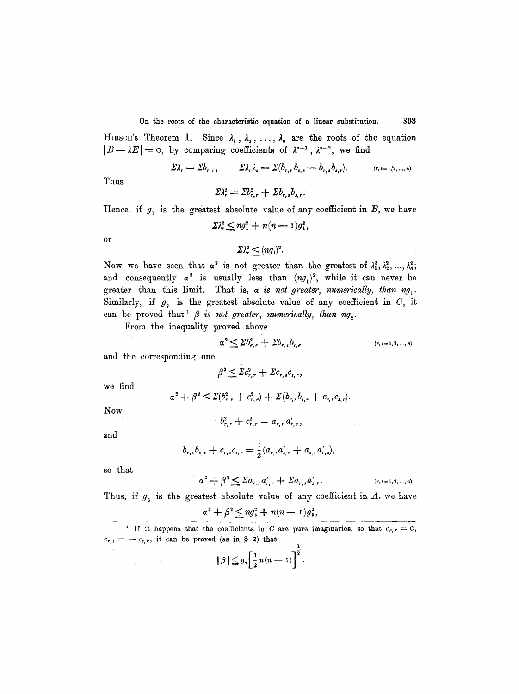On the roots of the characteristic equation of a linear substitution. 303

HIRSCH's Theorem I. Since  $\lambda_1$ ,  $\lambda_2$ , ...,  $\lambda_n$  are the roots of the equation  $|B-\lambda E|=0$ , by comparing coefficients of  $\lambda^{n-1}$ ,  $\lambda^{n-2}$ , we find

$$
\Sigma \lambda_r = \Sigma b_{r,r}, \qquad \Sigma \lambda_r \lambda_s = \Sigma (b_{r,r} b_{r,s} - b_{r,s} b_{r,r}). \qquad (r,s=1,2,...,n)
$$

Thus

$$
\Sigma \lambda_r^2 = \Sigma b_{r,r}^2 + \Sigma b_{r,s} b_{s,r}.
$$

Hence, if  $g_1$  is the greatest absolute value of any coefficient in  $B$ , we have

$$
\Sigma \lambda_r^2 \leq n g_1^2 + n(n-1) g_1^2,
$$

or

$$
\Sigma \lambda_r^2 \leq (n g_1)^2.
$$

Now we have seen that  $\alpha^2$  is not greater than the greatest of  $\lambda_1^2, \lambda_2^2, ..., \lambda_n^2$ ; and consequently  $\alpha^2$  is usually less than  $(ng_1)^2$ , while it can never be greater than this limit. That is,  $\alpha$  is not greater, numerically, than  $ng_1$ . Similarly, if  $g_2$  is the greatest absolute value of any coefficient in  $C$ , it can be proved that  $\beta$  *is not greater, numerically, than ng*<sub>2</sub>.

From the inequality proved above

$$
\alpha^2 \leq \Sigma b_{r,r}^2 + \Sigma b_{r,s} b_{s,r} \qquad (r,s=1,2,...,n)
$$

and the corresponding one

 $\beta^2 \leq \Sigma c_{r,r}^2 + \Sigma c_{r,s} c_{r,r}$ 

we find

$$
\alpha^2 + \beta^2 \leq \Sigma(b_{r,r}^2 + c_{r,r}^2) + \Sigma(b_{r,s}b_{r,r} + c_{r,s}c_{r,r}).
$$

Now

$$
b_{r,r}^2+c_{r,r}^2=a_{r,r}a_{r,r}',
$$

and

$$
b_{r,s}b_{s,r}+c_{r,s}c_{s,r}=\frac{1}{2}(a_{r,s}a'_{s,r}+a_{s,r}a'_{r,s}),
$$

so that

$$
\alpha^2 + \beta^2 \leq \sum a_{r,r} a'_{r,r} + \sum a_{r,s} a'_{s,r}.
$$

 $(r, s = 1, 2, ..., n)$ 

Thus, if  $g_3$  is the greatest absolute value of any coefficient in  $A$ , we have

$$
\alpha^2+\beta^2\leq ng_3^2+n(n-1)g_3^2,
$$

<sup>1</sup> If it happens that the coefficients in C are pure imaginaries, so that  $c_{r,r}=0$ ,  $c_{r,s}=-c_{s,r}$ , it can be proved (as in § 2) that

$$
|\beta| \leq g_{\bullet} \left[\frac{1}{2}n(n-1)\right]^{\frac{1}{2}}.
$$